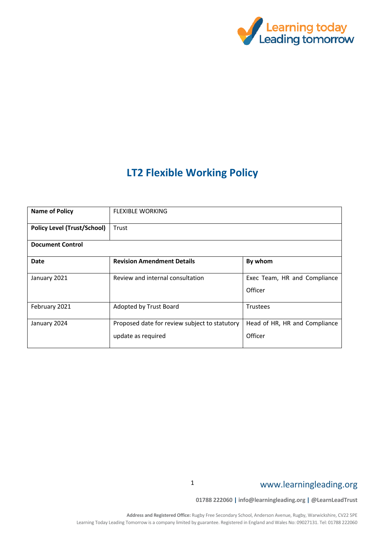

# **LT2 Flexible Working Policy**

| <b>Name of Policy</b>              | <b>FLEXIBLE WORKING</b>                       |                                         |  |  |  |  |  |
|------------------------------------|-----------------------------------------------|-----------------------------------------|--|--|--|--|--|
| <b>Policy Level (Trust/School)</b> | Trust                                         |                                         |  |  |  |  |  |
| <b>Document Control</b>            |                                               |                                         |  |  |  |  |  |
| <b>Date</b>                        | <b>Revision Amendment Details</b>             | By whom                                 |  |  |  |  |  |
| January 2021                       | Review and internal consultation              | Exec Team, HR and Compliance<br>Officer |  |  |  |  |  |
|                                    |                                               |                                         |  |  |  |  |  |
| February 2021                      | Adopted by Trust Board                        | <b>Trustees</b>                         |  |  |  |  |  |
| January 2024                       | Proposed date for review subject to statutory | Head of HR, HR and Compliance           |  |  |  |  |  |
|                                    | update as required                            | Officer                                 |  |  |  |  |  |

# www.learningleading.org

**01788 222060 | info@learningleading.org | @LearnLeadTrust**

1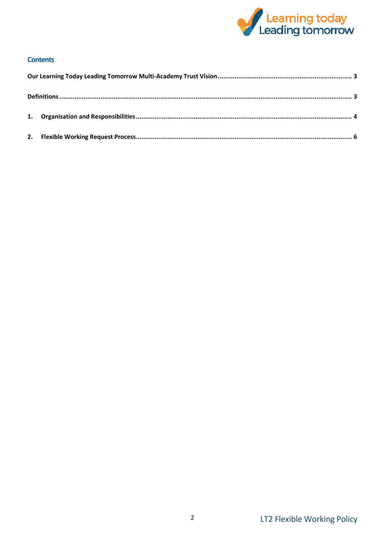

# **Contents**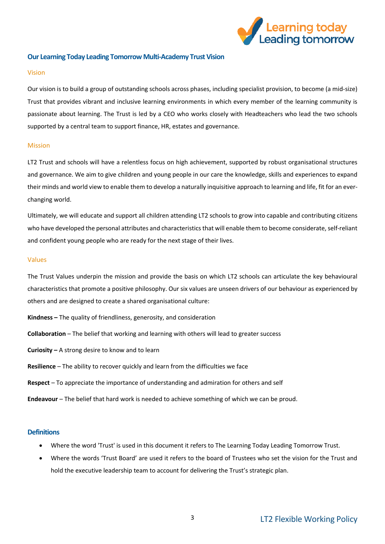

# <span id="page-2-0"></span>**Our Learning Today Leading Tomorrow Multi-Academy Trust Vision**

#### Vision

Our vision is to build a group of outstanding schools across phases, including specialist provision, to become (a mid-size) Trust that provides vibrant and inclusive learning environments in which every member of the learning community is passionate about learning. The Trust is led by a CEO who works closely with Headteachers who lead the two schools supported by a central team to support finance, HR, estates and governance.

# Mission

LT2 Trust and schools will have a relentless focus on high achievement, supported by robust organisational structures and governance. We aim to give children and young people in our care the knowledge, skills and experiences to expand their minds and world view to enable them to develop a naturally inquisitive approach to learning and life, fit for an everchanging world.

Ultimately, we will educate and support all children attending LT2 schools to grow into capable and contributing citizens who have developed the personal attributes and characteristics that will enable them to become considerate, self-reliant and confident young people who are ready for the next stage of their lives.

#### Values

The Trust Values underpin the mission and provide the basis on which LT2 schools can articulate the key behavioural characteristics that promote a positive philosophy. Our six values are unseen drivers of our behaviour as experienced by others and are designed to create a shared organisational culture:

- **Kindness –** The quality of friendliness, generosity, and consideration
- **Collaboration** The belief that working and learning with others will lead to greater success
- **Curiosity –** A strong desire to know and to learn
- **Resilience** The ability to recover quickly and learn from the difficulties we face
- **Respect** To appreciate the importance of understanding and admiration for others and self
- **Endeavour** The belief that hard work is needed to achieve something of which we can be proud.

# <span id="page-2-1"></span>**Definitions**

- Where the word 'Trust' is used in this document it refers to The Learning Today Leading Tomorrow Trust.
- Where the words 'Trust Board' are used it refers to the board of Trustees who set the vision for the Trust and hold the executive leadership team to account for delivering the Trust's strategic plan.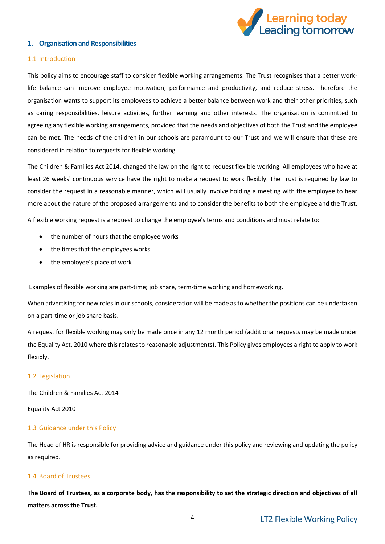

# <span id="page-3-0"></span>**1. Organisation and Responsibilities**

#### 1.1 Introduction

This policy aims to encourage staff to consider flexible working arrangements. The Trust recognises that a better worklife balance can improve employee motivation, performance and productivity, and reduce stress. Therefore the organisation wants to support its employees to achieve a better balance between work and their other priorities, such as caring responsibilities, leisure activities, further learning and other interests. The organisation is committed to agreeing any flexible working arrangements, provided that the needs and objectives of both the Trust and the employee can be met. The needs of the children in our schools are paramount to our Trust and we will ensure that these are considered in relation to requests for flexible working.

The Children & Families Act 2014, changed the law on the right to request flexible working. All employees who have at least 26 weeks' continuous service have the right to make a request to work flexibly. The Trust is required by law to consider the request in a reasonable manner, which will usually involve holding a meeting with the employee to hear more about the nature of the proposed arrangements and to consider the benefits to both the employee and the Trust.

A flexible working request is a request to change the employee's terms and conditions and must relate to:

- the number of hours that the employee works
- the times that the employees works
- the employee's place of work

Examples of flexible working are part-time; job share, term-time working and homeworking.

When advertising for new roles in our schools, consideration will be made as to whether the positions can be undertaken on a part-time or job share basis.

A request for flexible working may only be made once in any 12 month period (additional requests may be made under the Equality Act, 2010 where this relates to reasonable adjustments). This Policy gives employees a right to apply to work flexibly.

# 1.2 Legislation

The Children & Families Act 2014

Equality Act 2010

# 1.3 Guidance under this Policy

The Head of HR is responsible for providing advice and guidance under this policy and reviewing and updating the policy as required.

# 1.4 Board of Trustees

**The Board of Trustees, as a corporate body, has the responsibility to set the strategic direction and objectives of all matters across the Trust.**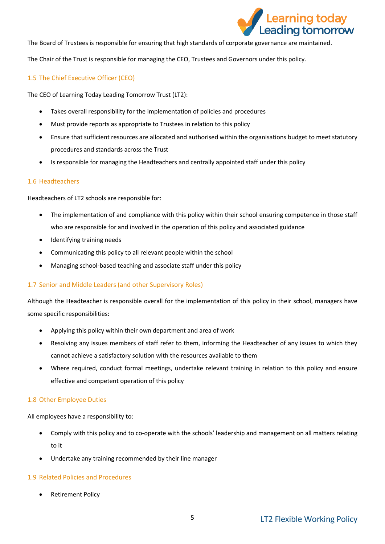

The Board of Trustees is responsible for ensuring that high standards of corporate governance are maintained.

The Chair of the Trust is responsible for managing the CEO, Trustees and Governors under this policy.

# 1.5 The Chief Executive Officer (CEO)

The CEO of Learning Today Leading Tomorrow Trust (LT2):

- Takes overall responsibility for the implementation of policies and procedures
- Must provide reports as appropriate to Trustees in relation to this policy
- Ensure that sufficient resources are allocated and authorised within the organisations budget to meet statutory procedures and standards across the Trust
- Is responsible for managing the Headteachers and centrally appointed staff under this policy

#### 1.6 Headteachers

Headteachers of LT2 schools are responsible for:

- The implementation of and compliance with this policy within their school ensuring competence in those staff who are responsible for and involved in the operation of this policy and associated guidance
- Identifying training needs
- Communicating this policy to all relevant people within the school
- Managing school-based teaching and associate staff under this policy

#### 1.7 Senior and Middle Leaders (and other Supervisory Roles)

Although the Headteacher is responsible overall for the implementation of this policy in their school, managers have some specific responsibilities:

- Applying this policy within their own department and area of work
- Resolving any issues members of staff refer to them, informing the Headteacher of any issues to which they cannot achieve a satisfactory solution with the resources available to them
- Where required, conduct formal meetings, undertake relevant training in relation to this policy and ensure effective and competent operation of this policy

#### 1.8 Other Employee Duties

All employees have a responsibility to:

- Comply with this policy and to co-operate with the schools' leadership and management on all matters relating to it
- Undertake any training recommended by their line manager

# 1.9 Related Policies and Procedures

Retirement Policy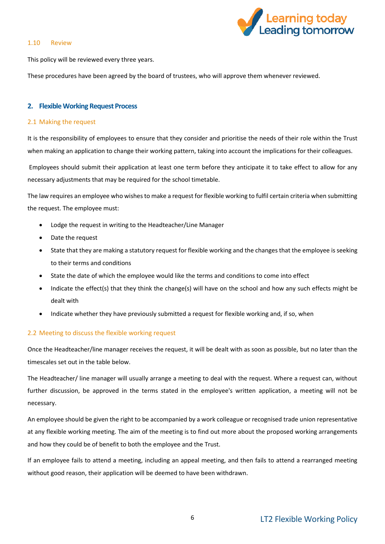#### 1.10 Review



This policy will be reviewed every three years.

These procedures have been agreed by the board of trustees, who will approve them whenever reviewed.

# <span id="page-5-0"></span>**2. Flexible Working Request Process**

# 2.1 Making the request

It is the responsibility of employees to ensure that they consider and prioritise the needs of their role within the Trust when making an application to change their working pattern, taking into account the implications for their colleagues.

Employees should submit their application at least one term before they anticipate it to take effect to allow for any necessary adjustments that may be required for the school timetable.

The law requires an employee who wishes to make a request for flexible working to fulfil certain criteria when submitting the request. The employee must:

- Lodge the request in writing to the Headteacher/Line Manager
- Date the request
- State that they are making a statutory request for flexible working and the changes that the employee is seeking to their terms and conditions
- State the date of which the employee would like the terms and conditions to come into effect
- Indicate the effect(s) that they think the change(s) will have on the school and how any such effects might be dealt with
- Indicate whether they have previously submitted a request for flexible working and, if so, when

# 2.2 Meeting to discuss the flexible working request

Once the Headteacher/line manager receives the request, it will be dealt with as soon as possible, but no later than the timescales set out in the table below.

The Headteacher/ line manager will usually arrange a meeting to deal with the request. Where a request can, without further discussion, be approved in the terms stated in the employee's written application, a meeting will not be necessary.

An employee should be given the right to be accompanied by a work colleague or recognised trade union representative at any flexible working meeting. The aim of the meeting is to find out more about the proposed working arrangements and how they could be of benefit to both the employee and the Trust.

If an employee fails to attend a meeting, including an appeal meeting, and then fails to attend a rearranged meeting without good reason, their application will be deemed to have been withdrawn.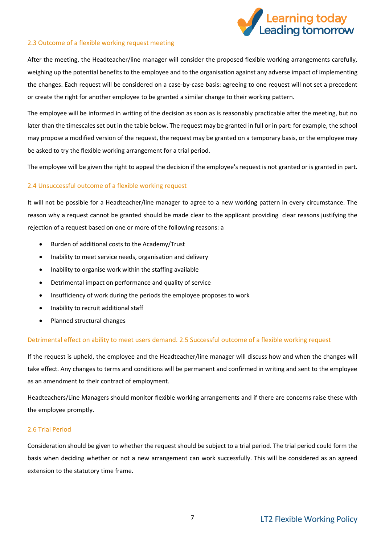

# 2.3 Outcome of a flexible working request meeting

After the meeting, the Headteacher/line manager will consider the proposed flexible working arrangements carefully, weighing up the potential benefits to the employee and to the organisation against any adverse impact of implementing the changes. Each request will be considered on a case-by-case basis: agreeing to one request will not set a precedent or create the right for another employee to be granted a similar change to their working pattern.

The employee will be informed in writing of the decision as soon as is reasonably practicable after the meeting, but no later than the timescales set out in the table below. The request may be granted in full or in part: for example, the school may propose a modified version of the request, the request may be granted on a temporary basis, or the employee may be asked to try the flexible working arrangement for a trial period.

The employee will be given the right to appeal the decision if the employee's request is not granted or is granted in part.

# 2.4 Unsuccessful outcome of a flexible working request

It will not be possible for a Headteacher/line manager to agree to a new working pattern in every circumstance. The reason why a request cannot be granted should be made clear to the applicant providing clear reasons justifying the rejection of a request based on one or more of the following reasons: a

- Burden of additional costs to the Academy/Trust
- Inability to meet service needs, organisation and delivery
- Inability to organise work within the staffing available
- Detrimental impact on performance and quality of service
- Insufficiency of work during the periods the employee proposes to work
- Inability to recruit additional staff
- Planned structural changes

# Detrimental effect on ability to meet users demand. 2.5 Successful outcome of a flexible working request

If the request is upheld, the employee and the Headteacher/line manager will discuss how and when the changes will take effect. Any changes to terms and conditions will be permanent and confirmed in writing and sent to the employee as an amendment to their contract of employment.

Headteachers/Line Managers should monitor flexible working arrangements and if there are concerns raise these with the employee promptly.

# 2.6 Trial Period

Consideration should be given to whether the request should be subject to a trial period. The trial period could form the basis when deciding whether or not a new arrangement can work successfully. This will be considered as an agreed extension to the statutory time frame.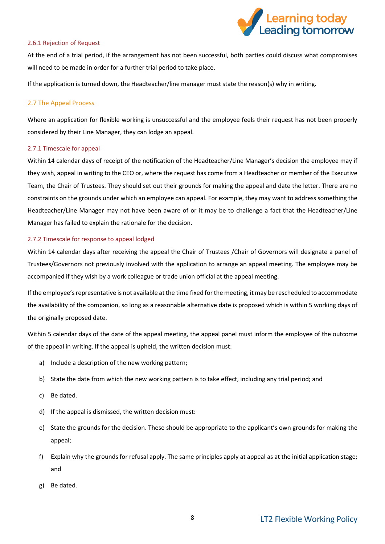

#### 2.6.1 Rejection of Request

At the end of a trial period, if the arrangement has not been successful, both parties could discuss what compromises will need to be made in order for a further trial period to take place.

If the application is turned down, the Headteacher/line manager must state the reason(s) why in writing.

# 2.7 The Appeal Process

Where an application for flexible working is unsuccessful and the employee feels their request has not been properly considered by their Line Manager, they can lodge an appeal.

#### 2.7.1 Timescale for appeal

Within 14 calendar days of receipt of the notification of the Headteacher/Line Manager's decision the employee may if they wish, appeal in writing to the CEO or, where the request has come from a Headteacher or member of the Executive Team, the Chair of Trustees. They should set out their grounds for making the appeal and date the letter. There are no constraints on the grounds under which an employee can appeal. For example, they may want to address something the Headteacher/Line Manager may not have been aware of or it may be to challenge a fact that the Headteacher/Line Manager has failed to explain the rationale for the decision.

#### 2.7.2 Timescale for response to appeal lodged

Within 14 calendar days after receiving the appeal the Chair of Trustees /Chair of Governors will designate a panel of Trustees/Governors not previously involved with the application to arrange an appeal meeting. The employee may be accompanied if they wish by a work colleague or trade union official at the appeal meeting.

If the employee's representative is not available at the time fixed for the meeting, it may be rescheduled to accommodate the availability of the companion, so long as a reasonable alternative date is proposed which is within 5 working days of the originally proposed date.

Within 5 calendar days of the date of the appeal meeting, the appeal panel must inform the employee of the outcome of the appeal in writing. If the appeal is upheld, the written decision must:

- a) Include a description of the new working pattern;
- b) State the date from which the new working pattern is to take effect, including any trial period; and
- c) Be dated.
- d) If the appeal is dismissed, the written decision must:
- e) State the grounds for the decision. These should be appropriate to the applicant's own grounds for making the appeal;
- f) Explain why the grounds for refusal apply. The same principles apply at appeal as at the initial application stage; and
- g) Be dated.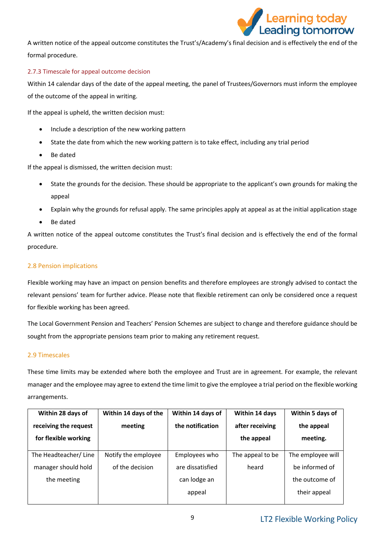

A written notice of the appeal outcome constitutes the Trust's/Academy's final decision and is effectively the end of the formal procedure.

# 2.7.3 Timescale for appeal outcome decision

Within 14 calendar days of the date of the appeal meeting, the panel of Trustees/Governors must inform the employee of the outcome of the appeal in writing.

If the appeal is upheld, the written decision must:

- Include a description of the new working pattern
- State the date from which the new working pattern is to take effect, including any trial period
- Be dated

If the appeal is dismissed, the written decision must:

- State the grounds for the decision. These should be appropriate to the applicant's own grounds for making the appeal
- Explain why the grounds for refusal apply. The same principles apply at appeal as at the initial application stage
- Be dated

A written notice of the appeal outcome constitutes the Trust's final decision and is effectively the end of the formal procedure.

# 2.8 Pension implications

Flexible working may have an impact on pension benefits and therefore employees are strongly advised to contact the relevant pensions' team for further advice. Please note that flexible retirement can only be considered once a request for flexible working has been agreed.

The Local Government Pension and Teachers' Pension Schemes are subject to change and therefore guidance should be sought from the appropriate pensions team prior to making any retirement request.

# 2.9 Timescales

These time limits may be extended where both the employee and Trust are in agreement. For example, the relevant manager and the employee may agree to extend the time limit to give the employee a trial period on the flexible working arrangements.

| Within 28 days of     | Within 14 days of the | Within 14 days of | Within 14 days   | Within 5 days of  |
|-----------------------|-----------------------|-------------------|------------------|-------------------|
| receiving the request | meeting               | the notification  | after receiving  | the appeal        |
| for flexible working  |                       |                   | the appeal       | meeting.          |
|                       |                       |                   |                  |                   |
| The Headteacher/Line  | Notify the employee   | Employees who     | The appeal to be | The employee will |
| manager should hold   | of the decision       | are dissatisfied  | heard            | be informed of    |
| the meeting           |                       | can lodge an      |                  | the outcome of    |
|                       |                       | appeal            |                  | their appeal      |
|                       |                       |                   |                  |                   |

# LT2 Flexible Working Policy 9